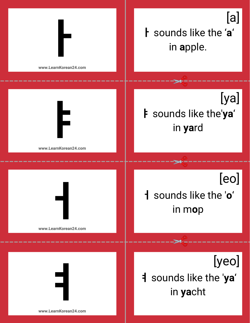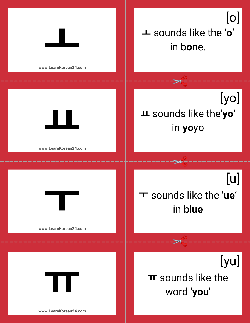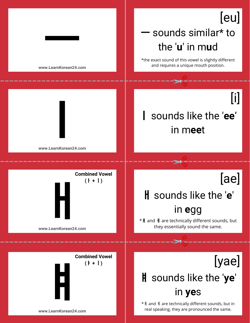## $\begin{array}{|c|c|c|c|}\n\hline\n\hline\n\end{array}$   $\begin{array}{|c|c|c|}\n\hline\n\end{array}$  be very similar  $\begin{array}{|c|c|}\n\hline\n\end{array}$  the 'u' in mud the '**u**' in m**u**d [eu]

\*the exact sound of this vowel is slightly different and requires a unique mouth position.

\*ㅒ and ㅖ are technically different sounds, but in real speaking, they are pronounced the same.

**www.LearnKorean24.com**



## **www.LearnKorean24.com**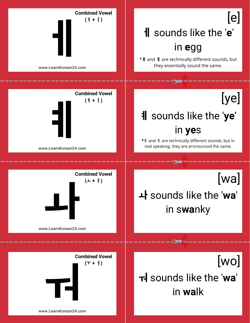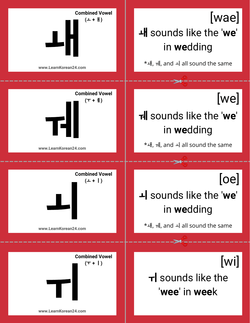